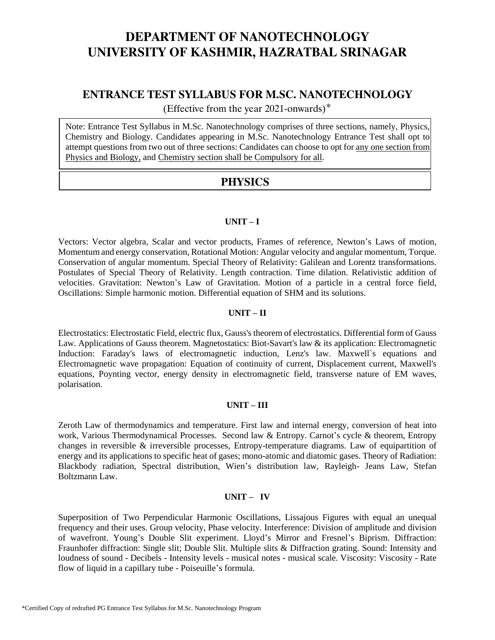## **ENTRANCE TEST SYLLABUS FOR M.SC. NANOTECHNOLOGY**

(Effective from the year 2021-onwards)\*

Note: Entrance Test Syllabus in M.Sc. Nanotechnology comprises of three sections, namely, Physics, Chemistry and Biology. Candidates appearing in M.Sc. Nanotechnology Entrance Test shall opt to attempt questions from two out of three sections: Candidates can choose to opt for any one section from Physics and Biology, and Chemistry section shall be Compulsory for all.

## **PHYSICS**

## **UNIT – I**

Vectors: Vector algebra, Scalar and vector products, Frames of reference, Newton's Laws of motion, Momentum and energy conservation, Rotational Motion: Angular velocity and angular momentum, Torque. Conservation of angular momentum. Special Theory of Relativity: Galilean and Lorentz transformations. Postulates of Special Theory of Relativity. Length contraction. Time dilation. Relativistic addition of velocities. Gravitation: Newton's Law of Gravitation. Motion of a particle in a central force field, Oscillations: Simple harmonic motion. Differential equation of SHM and its solutions.

## **UNIT – II**

Electrostatics: Electrostatic Field, electric flux, Gauss's theorem of electrostatics. Differential form of Gauss Law. Applications of Gauss theorem. Magnetostatics: Biot-Savart's law & its application: Electromagnetic Induction: Faraday's laws of electromagnetic induction, Lenz's law. Maxwell`s equations and Electromagnetic wave propagation: Equation of continuity of current, Displacement current, Maxwell's equations, Poynting vector, energy density in electromagnetic field, transverse nature of EM waves, polarisation.

### **UNIT – III**

Zeroth Law of thermodynamics and temperature. First law and internal energy, conversion of heat into work, Various Thermodynamical Processes. Second law & Entropy. Carnot's cycle & theorem, Entropy changes in reversible & irreversible processes, Entropy-temperature diagrams. Law of equipartition of energy and its applications to specific heat of gases; mono-atomic and diatomic gases. Theory of Radiation: Blackbody radiation, Spectral distribution, Wien's distribution law, Rayleigh- Jeans Law, Stefan Boltzmann Law.

### **UNIT – IV**

Superposition of Two Perpendicular Harmonic Oscillations, Lissajous Figures with equal an unequal frequency and their uses. Group velocity, Phase velocity. Interference: Division of amplitude and division of wavefront. Young's Double Slit experiment. Lloyd's Mirror and Fresnel's Biprism. Diffraction: Fraunhofer diffraction: Single slit; Double Slit. Multiple slits & Diffraction grating. Sound: Intensity and loudness of sound - Decibels - Intensity levels - musical notes - musical scale. Viscosity: Viscosity - Rate flow of liquid in a capillary tube - Poiseuille's formula.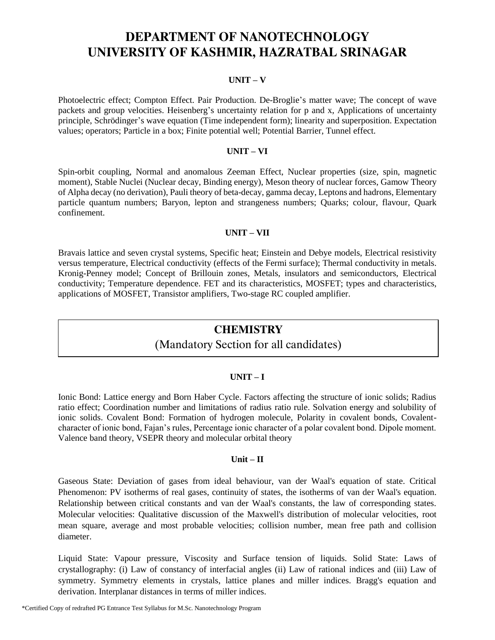### **UNIT – V**

Photoelectric effect; Compton Effect. Pair Production. De-Broglie's matter wave; The concept of wave packets and group velocities. Heisenberg's uncertainty relation for p and x, Applications of uncertainty principle, Schrödinger's wave equation (Time independent form); linearity and superposition. Expectation values; operators; Particle in a box; Finite potential well; Potential Barrier, Tunnel effect.

#### **UNIT – VI**

Spin-orbit coupling, Normal and anomalous Zeeman Effect, Nuclear properties (size, spin, magnetic moment), Stable Nuclei (Nuclear decay, Binding energy), Meson theory of nuclear forces, Gamow Theory of Alpha decay (no derivation), Pauli theory of beta-decay, gamma decay, Leptons and hadrons, Elementary particle quantum numbers; Baryon, lepton and strangeness numbers; Quarks; colour, flavour, Quark confinement.

### **UNIT – VII**

Bravais lattice and seven crystal systems, Specific heat; Einstein and Debye models, Electrical resistivity versus temperature, Electrical conductivity (effects of the Fermi surface); Thermal conductivity in metals. Kronig-Penney model; Concept of Brillouin zones, Metals, insulators and semiconductors, Electrical conductivity; Temperature dependence. FET and its characteristics, MOSFET; types and characteristics, applications of MOSFET, Transistor amplifiers, Two-stage RC coupled amplifier.

## **CHEMISTRY**

## (Mandatory Section for all candidates)

#### **UNIT – I**

Ionic Bond: Lattice energy and Born Haber Cycle. Factors affecting the structure of ionic solids; Radius ratio effect; Coordination number and limitations of radius ratio rule. Solvation energy and solubility of ionic solids. Covalent Bond: Formation of hydrogen molecule, Polarity in covalent bonds, Covalentcharacter of ionic bond, Fajan's rules, Percentage ionic character of a polar covalent bond. Dipole moment. Valence band theory, VSEPR theory and molecular orbital theory

#### **Unit – II**

Gaseous State: Deviation of gases from ideal behaviour, van der Waal's equation of state. Critical Phenomenon: PV isotherms of real gases, continuity of states, the isotherms of van der Waal's equation. Relationship between critical constants and van der Waal's constants, the law of corresponding states. Molecular velocities: Qualitative discussion of the Maxwell's distribution of molecular velocities, root mean square, average and most probable velocities; collision number, mean free path and collision diameter.

Liquid State: Vapour pressure, Viscosity and Surface tension of liquids. Solid State: Laws of crystallography: (i) Law of constancy of interfacial angles (ii) Law of rational indices and (iii) Law of symmetry. Symmetry elements in crystals, lattice planes and miller indices. Bragg's equation and derivation. Interplanar distances in terms of miller indices.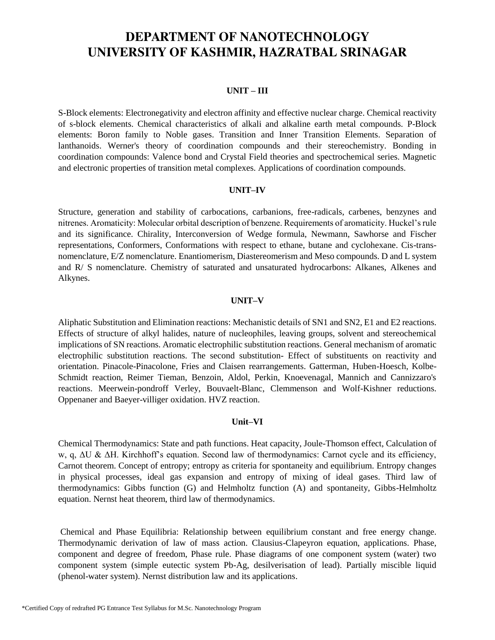#### **UNIT – III**

S-Block elements: Electronegativity and electron affinity and effective nuclear charge. Chemical reactivity of s-block elements. Chemical characteristics of alkali and alkaline earth metal compounds. P-Block elements: Boron family to Noble gases. Transition and Inner Transition Elements. Separation of lanthanoids. Werner's theory of coordination compounds and their stereochemistry. Bonding in coordination compounds: Valence bond and Crystal Field theories and spectrochemical series. Magnetic and electronic properties of transition metal complexes. Applications of coordination compounds.

#### **UNIT–IV**

Structure, generation and stability of carbocations, carbanions, free-radicals, carbenes, benzynes and nitrenes. Aromaticity: Molecular orbital description of benzene. Requirements of aromaticity. Huckel's rule and its significance. Chirality, Interconversion of Wedge formula, Newmann, Sawhorse and Fischer representations, Conformers, Conformations with respect to ethane, butane and cyclohexane. Cis-transnomenclature, E/Z nomenclature. Enantiomerism, Diastereomerism and Meso compounds. D and L system and R/ S nomenclature. Chemistry of saturated and unsaturated hydrocarbons: Alkanes, Alkenes and Alkynes.

#### **UNIT–V**

Aliphatic Substitution and Elimination reactions: Mechanistic details of SN1 and SN2, E1 and E2 reactions. Effects of structure of alkyl halides, nature of nucleophiles, leaving groups, solvent and stereochemical implications of SN reactions. Aromatic electrophilic substitution reactions. General mechanism of aromatic electrophilic substitution reactions. The second substitution- Effect of substituents on reactivity and orientation. Pinacole-Pinacolone, Fries and Claisen rearrangements. Gatterman, Huben-Hoesch, Kolbe-Schmidt reaction, Reimer Tieman, Benzoin, Aldol, Perkin, Knoevenagal, Mannich and Cannizzaro's reactions. Meerwein-pondroff Verley, Bouvaelt-Blanc, Clemmenson and Wolf-Kishner reductions. Oppenaner and Baeyer-villiger oxidation. HVZ reaction.

#### **Unit–VI**

Chemical Thermodynamics: State and path functions. Heat capacity, Joule-Thomson effect, Calculation of w, q, ΔU & ΔH. Kirchhoff's equation. Second law of thermodynamics: Carnot cycle and its efficiency, Carnot theorem. Concept of entropy; entropy as criteria for spontaneity and equilibrium. Entropy changes in physical processes, ideal gas expansion and entropy of mixing of ideal gases. Third law of thermodynamics: Gibbs function (G) and Helmholtz function (A) and spontaneity, Gibbs-Helmholtz equation. Nernst heat theorem, third law of thermodynamics.

Chemical and Phase Equilibria: Relationship between equilibrium constant and free energy change. Thermodynamic derivation of law of mass action. Clausius-Clapeyron equation, applications. Phase, component and degree of freedom, Phase rule. Phase diagrams of one component system (water) two component system (simple eutectic system Pb-Ag, desilverisation of lead). Partially miscible liquid (phenol-water system). Nernst distribution law and its applications.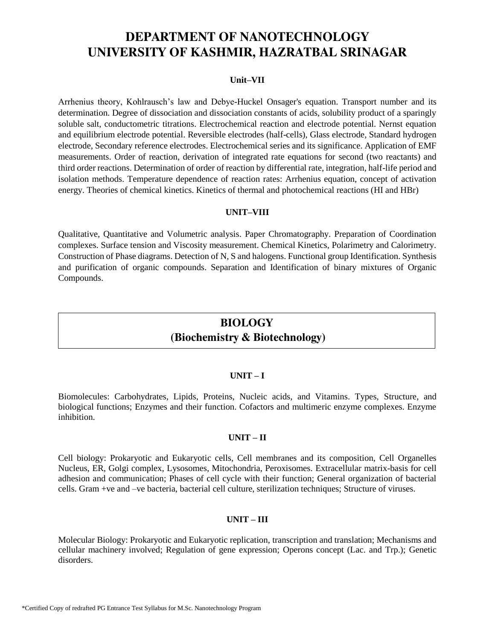### **Unit–VII**

Arrhenius theory, Kohlrausch's law and Debye-Huckel Onsager's equation. Transport number and its determination. Degree of dissociation and dissociation constants of acids, solubility product of a sparingly soluble salt, conductometric titrations. Electrochemical reaction and electrode potential. Nernst equation and equilibrium electrode potential. Reversible electrodes (half-cells), Glass electrode, Standard hydrogen electrode, Secondary reference electrodes. Electrochemical series and its significance. Application of EMF measurements. Order of reaction, derivation of integrated rate equations for second (two reactants) and third order reactions. Determination of order of reaction by differential rate, integration, half-life period and isolation methods. Temperature dependence of reaction rates: Arrhenius equation, concept of activation energy. Theories of chemical kinetics. Kinetics of thermal and photochemical reactions (HI and HBr)

#### **UNIT–VIII**

Qualitative, Quantitative and Volumetric analysis. Paper Chromatography. Preparation of Coordination complexes. Surface tension and Viscosity measurement. Chemical Kinetics, Polarimetry and Calorimetry. Construction of Phase diagrams. Detection of N, S and halogens. Functional group Identification. Synthesis and purification of organic compounds. Separation and Identification of binary mixtures of Organic Compounds.

## **BIOLOGY (Biochemistry & Biotechnology)**

#### **UNIT – I**

Biomolecules: Carbohydrates, Lipids, Proteins, Nucleic acids, and Vitamins. Types, Structure, and biological functions; Enzymes and their function. Cofactors and multimeric enzyme complexes. Enzyme inhibition.

#### **UNIT – II**

Cell biology: Prokaryotic and Eukaryotic cells, Cell membranes and its composition, Cell Organelles Nucleus, ER, Golgi complex, Lysosomes, Mitochondria, Peroxisomes. Extracellular matrix-basis for cell adhesion and communication; Phases of cell cycle with their function; General organization of bacterial cells. Gram +ve and –ve bacteria, bacterial cell culture, sterilization techniques; Structure of viruses.

### **UNIT – III**

Molecular Biology: Prokaryotic and Eukaryotic replication, transcription and translation; Mechanisms and cellular machinery involved; Regulation of gene expression; Operons concept (Lac. and Trp.); Genetic disorders.